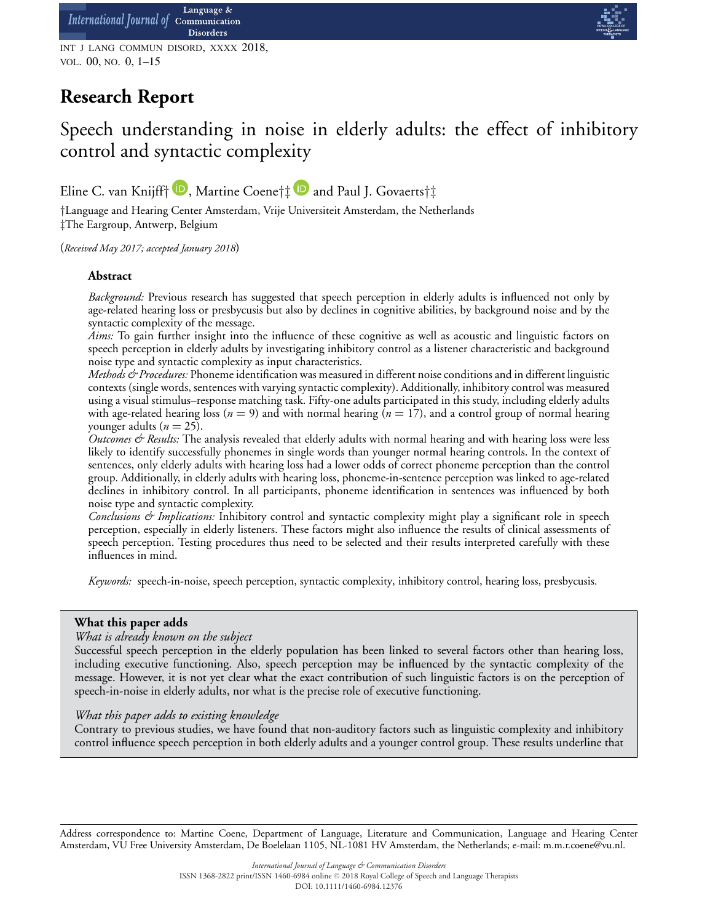INT J LANG COMMUN DISORD, XXXX 2018, VOL. 00, NO. 0, 1–15

# **Research Report**



# Speech understanding in noise in elderly adults: the effect of inhibitory control and syntactic complexity

Eline C. van Knijff<sup>†</sup> <sup>(D</sup>[,](http://orcid.org/0000-0003-3295-1436) Martine Coene<sup>††</sup> <sup>(D</sup>) and Paul J. Govaerts<sup>††</sup>

*†*Language and Hearing Center Amsterdam, Vrije Universiteit Amsterdam, the Netherlands *‡*The Eargroup, Antwerp, Belgium

(*Received May 2017; accepted January 2018*)

## **Abstract**

*Background:* Previous research has suggested that speech perception in elderly adults is influenced not only by age-related hearing loss or presbycusis but also by declines in cognitive abilities, by background noise and by the syntactic complexity of the message.

*Aims:* To gain further insight into the influence of these cognitive as well as acoustic and linguistic factors on speech perception in elderly adults by investigating inhibitory control as a listener characteristic and background noise type and syntactic complexity as input characteristics.

*Methods & Procedures:* Phoneme identification was measured in different noise conditions and in different linguistic contexts (single words, sentences with varying syntactic complexity). Additionally, inhibitory control was measured using a visual stimulus–response matching task. Fifty-one adults participated in this study, including elderly adults with age-related hearing loss ( $n = 9$ ) and with normal hearing ( $n = 17$ ), and a control group of normal hearing younger adults  $(n = 25)$ .

*Outcomes & Results:* The analysis revealed that elderly adults with normal hearing and with hearing loss were less likely to identify successfully phonemes in single words than younger normal hearing controls. In the context of sentences, only elderly adults with hearing loss had a lower odds of correct phoneme perception than the control group. Additionally, in elderly adults with hearing loss, phoneme-in-sentence perception was linked to age-related declines in inhibitory control. In all participants, phoneme identification in sentences was influenced by both noise type and syntactic complexity.

*Conclusions & Implications:* Inhibitory control and syntactic complexity might play a significant role in speech perception, especially in elderly listeners. These factors might also influence the results of clinical assessments of speech perception. Testing procedures thus need to be selected and their results interpreted carefully with these influences in mind.

*Keywords:* speech-in-noise, speech perception, syntactic complexity, inhibitory control, hearing loss, presbycusis.

## **What this paper adds**

## *What is already known on the subject*

Successful speech perception in the elderly population has been linked to several factors other than hearing loss, including executive functioning. Also, speech perception may be influenced by the syntactic complexity of the message. However, it is not yet clear what the exact contribution of such linguistic factors is on the perception of speech-in-noise in elderly adults, nor what is the precise role of executive functioning.

## *What this paper adds to existing knowledge*

Contrary to previous studies, we have found that non-auditory factors such as linguistic complexity and inhibitory control influence speech perception in both elderly adults and a younger control group. These results underline that

Address correspondence to: Martine Coene, Department of Language, Literature and Communication, Language and Hearing Center Amsterdam, VU Free University Amsterdam, De Boelelaan 1105, NL-1081 HV Amsterdam, the Netherlands; e-mail: m.m.r.coene@vu.nl.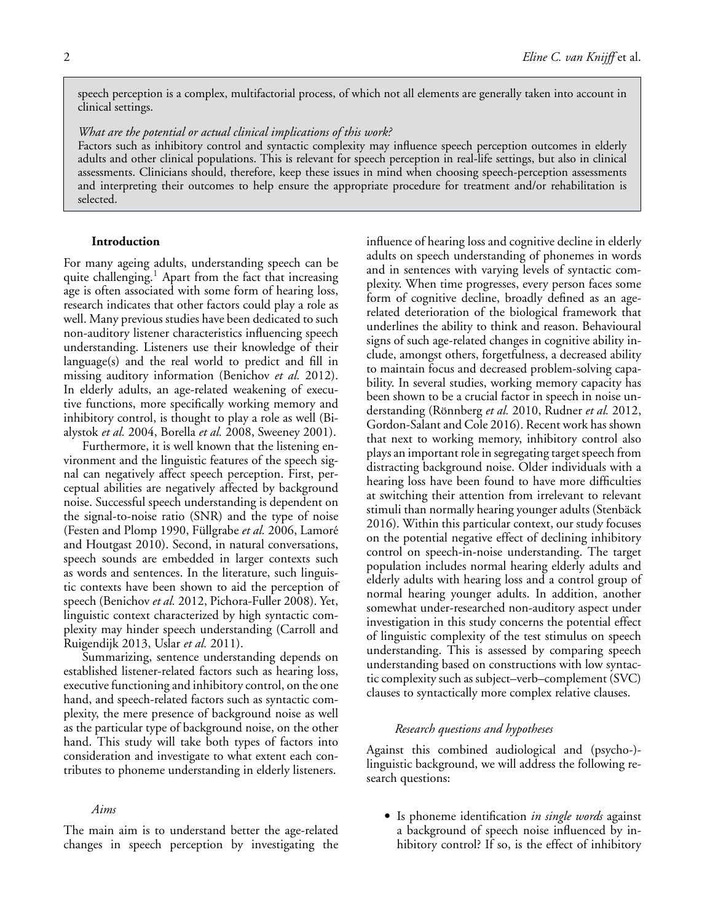speech perception is a complex, multifactorial process, of which not all elements are generally taken into account in clinical settings.

*What are the potential or actual clinical implications of this work?*

Factors such as inhibitory control and syntactic complexity may influence speech perception outcomes in elderly adults and other clinical populations. This is relevant for speech perception in real-life settings, but also in clinical assessments. Clinicians should, therefore, keep these issues in mind when choosing speech-perception assessments and interpreting their outcomes to help ensure the appropriate procedure for treatment and/or rehabilitation is selected.

#### **Introduction**

For many ageing adults, understanding speech can be quite challenging.<sup>1</sup> Apart from the fact that increasing age is often associated with some form of hearing loss, research indicates that other factors could play a role as well. Many previous studies have been dedicated to such non-auditory listener characteristics influencing speech understanding. Listeners use their knowledge of their language(s) and the real world to predict and fill in missing auditory information (Benichov *et al.* 2012). In elderly adults, an age-related weakening of executive functions, more specifically working memory and inhibitory control, is thought to play a role as well (Bialystok *et al.* 2004, Borella *et al.* 2008, Sweeney 2001).

Furthermore, it is well known that the listening environment and the linguistic features of the speech signal can negatively affect speech perception. First, perceptual abilities are negatively affected by background noise. Successful speech understanding is dependent on the signal-to-noise ratio (SNR) and the type of noise (Festen and Plomp 1990, Füllgrabe et al. 2006, Lamoré and Houtgast 2010). Second, in natural conversations, speech sounds are embedded in larger contexts such as words and sentences. In the literature, such linguistic contexts have been shown to aid the perception of speech (Benichov *et al.* 2012, Pichora-Fuller 2008). Yet, linguistic context characterized by high syntactic complexity may hinder speech understanding (Carroll and Ruigendijk 2013, Uslar *et al.* 2011).

Summarizing, sentence understanding depends on established listener-related factors such as hearing loss, executive functioning and inhibitory control, on the one hand, and speech-related factors such as syntactic complexity, the mere presence of background noise as well as the particular type of background noise, on the other hand. This study will take both types of factors into consideration and investigate to what extent each contributes to phoneme understanding in elderly listeners.

#### *Aims*

The main aim is to understand better the age-related changes in speech perception by investigating the influence of hearing loss and cognitive decline in elderly adults on speech understanding of phonemes in words and in sentences with varying levels of syntactic complexity. When time progresses, every person faces some form of cognitive decline, broadly defined as an agerelated deterioration of the biological framework that underlines the ability to think and reason. Behavioural signs of such age-related changes in cognitive ability include, amongst others, forgetfulness, a decreased ability to maintain focus and decreased problem-solving capability. In several studies, working memory capacity has been shown to be a crucial factor in speech in noise understanding (Rönnberg et al. 2010, Rudner et al. 2012, Gordon-Salant and Cole 2016). Recent work has shown that next to working memory, inhibitory control also plays an important role in segregating target speech from distracting background noise. Older individuals with a hearing loss have been found to have more difficulties at switching their attention from irrelevant to relevant stimuli than normally hearing younger adults (Stenbäck 2016). Within this particular context, our study focuses on the potential negative effect of declining inhibitory control on speech-in-noise understanding. The target population includes normal hearing elderly adults and elderly adults with hearing loss and a control group of normal hearing younger adults. In addition, another somewhat under-researched non-auditory aspect under investigation in this study concerns the potential effect of linguistic complexity of the test stimulus on speech understanding. This is assessed by comparing speech understanding based on constructions with low syntactic complexity such as subject–verb–complement (SVC) clauses to syntactically more complex relative clauses.

#### *Research questions and hypotheses*

Against this combined audiological and (psycho-) linguistic background, we will address the following research questions:

- Is phoneme identification *in single words* against a background of speech noise influenced by inhibitory control? If so, is the effect of inhibitory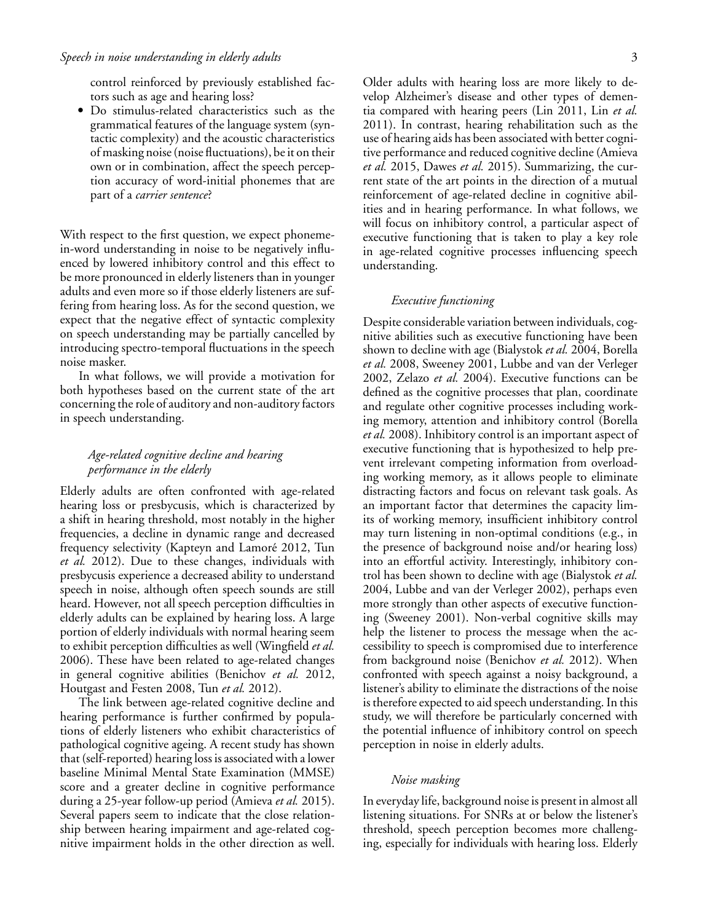control reinforced by previously established factors such as age and hearing loss?

- Do stimulus-related characteristics such as the grammatical features of the language system (syntactic complexity) and the acoustic characteristics of masking noise (noise fluctuations), be it on their own or in combination, affect the speech perception accuracy of word-initial phonemes that are part of a *carrier sentence*?

With respect to the first question, we expect phonemein-word understanding in noise to be negatively influenced by lowered inhibitory control and this effect to be more pronounced in elderly listeners than in younger adults and even more so if those elderly listeners are suffering from hearing loss. As for the second question, we expect that the negative effect of syntactic complexity on speech understanding may be partially cancelled by introducing spectro-temporal fluctuations in the speech noise masker.

In what follows, we will provide a motivation for both hypotheses based on the current state of the art concerning the role of auditory and non-auditory factors in speech understanding.

## *Age-related cognitive decline and hearing performance in the elderly*

Elderly adults are often confronted with age-related hearing loss or presbycusis, which is characterized by a shift in hearing threshold, most notably in the higher frequencies, a decline in dynamic range and decreased frequency selectivity (Kapteyn and Lamoré 2012, Tun *et al.* 2012). Due to these changes, individuals with presbycusis experience a decreased ability to understand speech in noise, although often speech sounds are still heard. However, not all speech perception difficulties in elderly adults can be explained by hearing loss. A large portion of elderly individuals with normal hearing seem to exhibit perception difficulties as well (Wingfield *et al.* 2006). These have been related to age-related changes in general cognitive abilities (Benichov *et al.* 2012, Houtgast and Festen 2008, Tun *et al.* 2012).

The link between age-related cognitive decline and hearing performance is further confirmed by populations of elderly listeners who exhibit characteristics of pathological cognitive ageing. A recent study has shown that (self-reported) hearing loss is associated with a lower baseline Minimal Mental State Examination (MMSE) score and a greater decline in cognitive performance during a 25-year follow-up period (Amieva *et al.* 2015). Several papers seem to indicate that the close relationship between hearing impairment and age-related cognitive impairment holds in the other direction as well.

Older adults with hearing loss are more likely to develop Alzheimer's disease and other types of dementia compared with hearing peers (Lin 2011, Lin *et al.* 2011). In contrast, hearing rehabilitation such as the use of hearing aids has been associated with better cognitive performance and reduced cognitive decline (Amieva *et al.* 2015, Dawes *et al.* 2015). Summarizing, the current state of the art points in the direction of a mutual reinforcement of age-related decline in cognitive abilities and in hearing performance. In what follows, we will focus on inhibitory control, a particular aspect of executive functioning that is taken to play a key role in age-related cognitive processes influencing speech understanding.

#### *Executive functioning*

Despite considerable variation between individuals, cognitive abilities such as executive functioning have been shown to decline with age (Bialystok *et al.* 2004, Borella *et al.* 2008, Sweeney 2001, Lubbe and van der Verleger 2002, Zelazo *et al.* 2004). Executive functions can be defined as the cognitive processes that plan, coordinate and regulate other cognitive processes including working memory, attention and inhibitory control (Borella *et al.* 2008). Inhibitory control is an important aspect of executive functioning that is hypothesized to help prevent irrelevant competing information from overloading working memory, as it allows people to eliminate distracting factors and focus on relevant task goals. As an important factor that determines the capacity limits of working memory, insufficient inhibitory control may turn listening in non-optimal conditions (e.g., in the presence of background noise and/or hearing loss) into an effortful activity. Interestingly, inhibitory control has been shown to decline with age (Bialystok *et al.* 2004, Lubbe and van der Verleger 2002), perhaps even more strongly than other aspects of executive functioning (Sweeney 2001). Non-verbal cognitive skills may help the listener to process the message when the accessibility to speech is compromised due to interference from background noise (Benichov *et al.* 2012). When confronted with speech against a noisy background, a listener's ability to eliminate the distractions of the noise is therefore expected to aid speech understanding. In this study, we will therefore be particularly concerned with the potential influence of inhibitory control on speech perception in noise in elderly adults.

#### *Noise masking*

In everyday life, background noise is present in almost all listening situations. For SNRs at or below the listener's threshold, speech perception becomes more challenging, especially for individuals with hearing loss. Elderly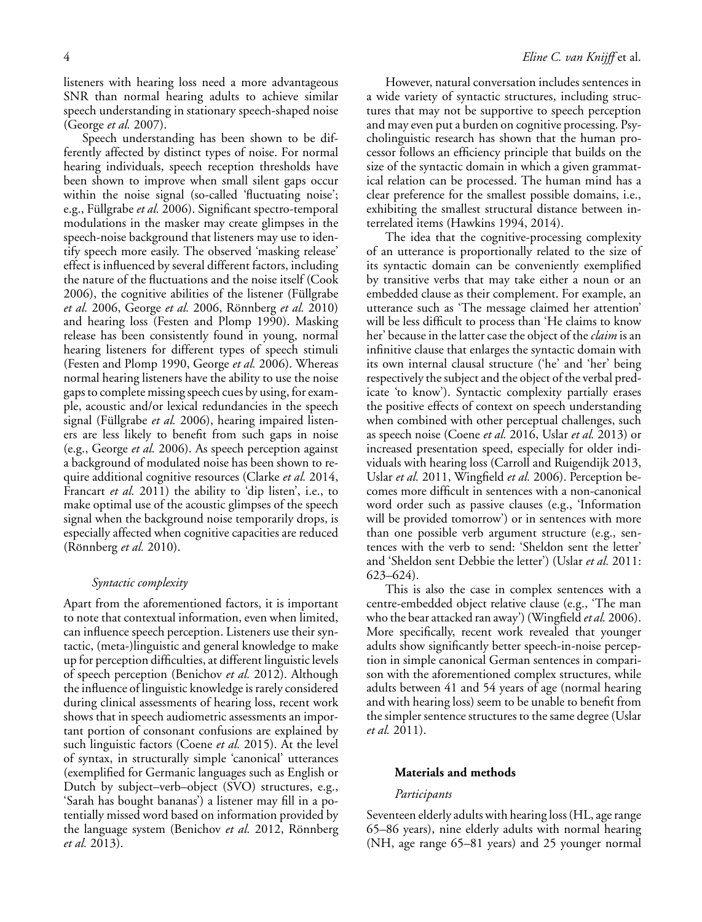listeners with hearing loss need a more advantageous SNR than normal hearing adults to achieve similar speech understanding in stationary speech-shaped noise (George *et al.* 2007).

Speech understanding has been shown to be differently affected by distinct types of noise. For normal hearing individuals, speech reception thresholds have been shown to improve when small silent gaps occur within the noise signal (so-called 'fluctuating noise'; e.g., Füllgrabe et al. 2006). Significant spectro-temporal modulations in the masker may create glimpses in the speech-noise background that listeners may use to identify speech more easily. The observed 'masking release' effect is influenced by several different factors, including the nature of the fluctuations and the noise itself (Cook 2006), the cognitive abilities of the listener (Füllgrabe *et al.* 2006, George *et al.* 2006, Rönnberg *et al.* 2010) and hearing loss (Festen and Plomp 1990). Masking release has been consistently found in young, normal hearing listeners for different types of speech stimuli (Festen and Plomp 1990, George *et al.* 2006). Whereas normal hearing listeners have the ability to use the noise gaps to complete missing speech cues by using, for example, acoustic and/or lexical redundancies in the speech signal (Füllgrabe *et al.* 2006), hearing impaired listeners are less likely to benefit from such gaps in noise (e.g., George *et al.* 2006). As speech perception against a background of modulated noise has been shown to require additional cognitive resources (Clarke *et al.* 2014, Francart *et al.* 2011) the ability to 'dip listen', i.e., to make optimal use of the acoustic glimpses of the speech signal when the background noise temporarily drops, is especially affected when cognitive capacities are reduced (Rönnberg *et al.* 2010).

#### *Syntactic complexity*

Apart from the aforementioned factors, it is important to note that contextual information, even when limited, can influence speech perception. Listeners use their syntactic, (meta-)linguistic and general knowledge to make up for perception difficulties, at different linguistic levels of speech perception (Benichov *et al.* 2012). Although the influence of linguistic knowledge is rarely considered during clinical assessments of hearing loss, recent work shows that in speech audiometric assessments an important portion of consonant confusions are explained by such linguistic factors (Coene *et al.* 2015). At the level of syntax, in structurally simple 'canonical' utterances (exemplified for Germanic languages such as English or Dutch by subject–verb–object (SVO) structures, e.g., 'Sarah has bought bananas') a listener may fill in a potentially missed word based on information provided by the language system (Benichov et al. 2012, Rönnberg *et al.* 2013).

However, natural conversation includes sentences in a wide variety of syntactic structures, including structures that may not be supportive to speech perception and may even put a burden on cognitive processing. Psycholinguistic research has shown that the human processor follows an efficiency principle that builds on the size of the syntactic domain in which a given grammatical relation can be processed. The human mind has a clear preference for the smallest possible domains, i.e., exhibiting the smallest structural distance between interrelated items (Hawkins 1994, 2014).

The idea that the cognitive-processing complexity of an utterance is proportionally related to the size of its syntactic domain can be conveniently exemplified by transitive verbs that may take either a noun or an embedded clause as their complement. For example, an utterance such as 'The message claimed her attention' will be less difficult to process than 'He claims to know her' because in the latter case the object of the*claim* is an infinitive clause that enlarges the syntactic domain with its own internal clausal structure ('he' and 'her' being respectively the subject and the object of the verbal predicate 'to know'). Syntactic complexity partially erases the positive effects of context on speech understanding when combined with other perceptual challenges, such as speech noise (Coene *et al.* 2016, Uslar *et al.* 2013) or increased presentation speed, especially for older individuals with hearing loss (Carroll and Ruigendijk 2013, Uslar *et al.* 2011, Wingfield *et al.* 2006). Perception becomes more difficult in sentences with a non-canonical word order such as passive clauses (e.g., 'Information will be provided tomorrow') or in sentences with more than one possible verb argument structure (e.g., sentences with the verb to send: 'Sheldon sent the letter' and 'Sheldon sent Debbie the letter') (Uslar *et al.* 2011: 623–624).

This is also the case in complex sentences with a centre-embedded object relative clause (e.g., 'The man who the bear attacked ran away') (Wingfield *et al.* 2006). More specifically, recent work revealed that younger adults show significantly better speech-in-noise perception in simple canonical German sentences in comparison with the aforementioned complex structures, while adults between 41 and 54 years of age (normal hearing and with hearing loss) seem to be unable to benefit from the simpler sentence structures to the same degree (Uslar *et al.* 2011).

#### **Materials and methods**

#### *Participants*

Seventeen elderly adults with hearing loss (HL, age range 65–86 years), nine elderly adults with normal hearing (NH, age range 65–81 years) and 25 younger normal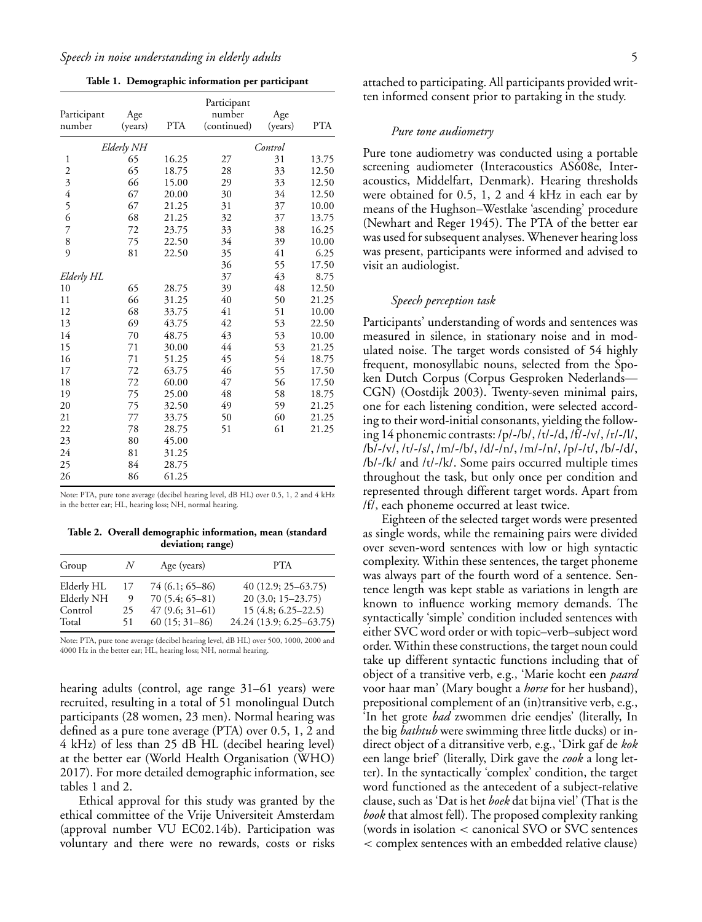**Table 1. Demographic information per participant**

| Participant<br>number   | Age<br>(years) | <b>PTA</b> | Participant<br>number<br>(continued) | Age<br>(years) | <b>PTA</b> |
|-------------------------|----------------|------------|--------------------------------------|----------------|------------|
|                         | Elderly NH     |            |                                      | Control        |            |
| 1                       | 65             | 16.25      | 27                                   | 31             | 13.75      |
| $\overline{\mathbf{c}}$ | 65             | 18.75      | 28                                   | 33             | 12.50      |
| $\overline{\mathbf{3}}$ | 66             | 15.00      | 29                                   | 33             | 12.50      |
| $\overline{4}$          | 67             | 20.00      | 30                                   | 34             | 12.50      |
| 5                       | 67             | 21.25      | 31                                   | 37             | 10.00      |
| 6                       | 68             | 21.25      | 32                                   | 37             | 13.75      |
| 7                       | 72             | 23.75      | 33                                   | 38             | 16.25      |
| 8                       | 75             | 22.50      | 34                                   | 39             | 10.00      |
| 9                       | 81             | 22.50      | 35                                   | 41             | 6.25       |
|                         |                |            | 36                                   | 55             | 17.50      |
| Elderly HL              |                |            | 37                                   | 43             | 8.75       |
| 10                      | 65             | 28.75      | 39                                   | 48             | 12.50      |
| 11                      | 66             | 31.25      | 40                                   | 50             | 21.25      |
| 12                      | 68             | 33.75      | 41                                   | 51             | 10.00      |
| 13                      | 69             | 43.75      | 42                                   | 53             | 22.50      |
| 14                      | 70             | 48.75      | 43                                   | 53             | 10.00      |
| 15                      | 71             | 30.00      | 44                                   | 53             | 21.25      |
| 16                      | 71             | 51.25      | 45                                   | 54             | 18.75      |
| 17                      | 72             | 63.75      | 46                                   | 55             | 17.50      |
| 18                      | 72             | 60.00      | 47                                   | 56             | 17.50      |
| 19                      | 75             | 25.00      | 48                                   | 58             | 18.75      |
| 20                      | 75             | 32.50      | 49                                   | 59             | 21.25      |
| 21                      | 77             | 33.75      | 50                                   | 60             | 21.25      |
| 22                      | 78             | 28.75      | 51                                   | 61             | 21.25      |
| 23                      | 80             | 45.00      |                                      |                |            |
| 24                      | 81             | 31.25      |                                      |                |            |
| 25                      | 84             | 28.75      |                                      |                |            |
| 26                      | 86             | 61.25      |                                      |                |            |

Note: PTA, pure tone average (decibel hearing level, dB HL) over 0.5, 1, 2 and 4 kHz in the better ear; HL, hearing loss; NH, normal hearing.

**Table 2. Overall demographic information, mean (standard deviation; range)**

| Group                                        | N                   | Age (years)                                                                 | <b>PTA</b>                                                                                        |
|----------------------------------------------|---------------------|-----------------------------------------------------------------------------|---------------------------------------------------------------------------------------------------|
| Elderly HL<br>Elderly NH<br>Control<br>Total | 17<br>9<br>25<br>51 | $74(6.1; 65-86)$<br>$70(5.4; 65-81)$<br>$47(9.6; 31-61)$<br>$60(15; 31-86)$ | $40(12.9; 25 - 63.75)$<br>$20(3.0; 15-23.75)$<br>$15(4.8; 6.25-22.5)$<br>24.24 (13.9; 6.25–63.75) |

Note: PTA, pure tone average (decibel hearing level, dB HL) over 500, 1000, 2000 and 4000 Hz in the better ear; HL, hearing loss; NH, normal hearing.

hearing adults (control, age range 31–61 years) were recruited, resulting in a total of 51 monolingual Dutch participants (28 women, 23 men). Normal hearing was defined as a pure tone average (PTA) over 0.5, 1, 2 and 4 kHz) of less than 25 dB HL (decibel hearing level) at the better ear (World Health Organisation (WHO) 2017). For more detailed demographic information, see tables 1 and 2.

Ethical approval for this study was granted by the ethical committee of the Vrije Universiteit Amsterdam (approval number VU EC02.14b). Participation was voluntary and there were no rewards, costs or risks attached to participating. All participants provided written informed consent prior to partaking in the study.

#### *Pure tone audiometry*

Pure tone audiometry was conducted using a portable screening audiometer (Interacoustics AS608e, Interacoustics, Middelfart, Denmark). Hearing thresholds were obtained for 0.5, 1, 2 and 4 kHz in each ear by means of the Hughson–Westlake 'ascending' procedure (Newhart and Reger 1945). The PTA of the better ear was used for subsequent analyses. Whenever hearing loss was present, participants were informed and advised to visit an audiologist.

### *Speech perception task*

Participants' understanding of words and sentences was measured in silence, in stationary noise and in modulated noise. The target words consisted of 54 highly frequent, monosyllabic nouns, selected from the Spoken Dutch Corpus (Corpus Gesproken Nederlands— CGN) (Oostdijk 2003). Twenty-seven minimal pairs, one for each listening condition, were selected according to their word-initial consonants, yielding the following 14 phonemic contrasts: /p/-/b/, /t/-/d, /f/-/v/, /r/-/l/, /b/-/v/, /t/-/s/, /m/-/b/, /d/-/n/, /m/-/n/, /p/-/t/, /b/-/d/, /b/-/k/ and /t/-/k/. Some pairs occurred multiple times throughout the task, but only once per condition and represented through different target words. Apart from /f/, each phoneme occurred at least twice.

Eighteen of the selected target words were presented as single words, while the remaining pairs were divided over seven-word sentences with low or high syntactic complexity. Within these sentences, the target phoneme was always part of the fourth word of a sentence. Sentence length was kept stable as variations in length are known to influence working memory demands. The syntactically 'simple' condition included sentences with either SVC word order or with topic–verb–subject word order. Within these constructions, the target noun could take up different syntactic functions including that of object of a transitive verb, e.g., 'Marie kocht een *paard* voor haar man' (Mary bought a *horse* for her husband), prepositional complement of an (in)transitive verb, e.g., 'In het grote *bad* zwommen drie eendjes' (literally, In the big *bathtub* were swimming three little ducks) or indirect object of a ditransitive verb, e.g., 'Dirk gaf de *kok* een lange brief' (literally, Dirk gave the *cook* a long letter). In the syntactically 'complex' condition, the target word functioned as the antecedent of a subject-relative clause, such as 'Dat is het *boek* dat bijna viel' (That is the *book* that almost fell). The proposed complexity ranking (words in isolation < canonical SVO or SVC sentences < complex sentences with an embedded relative clause)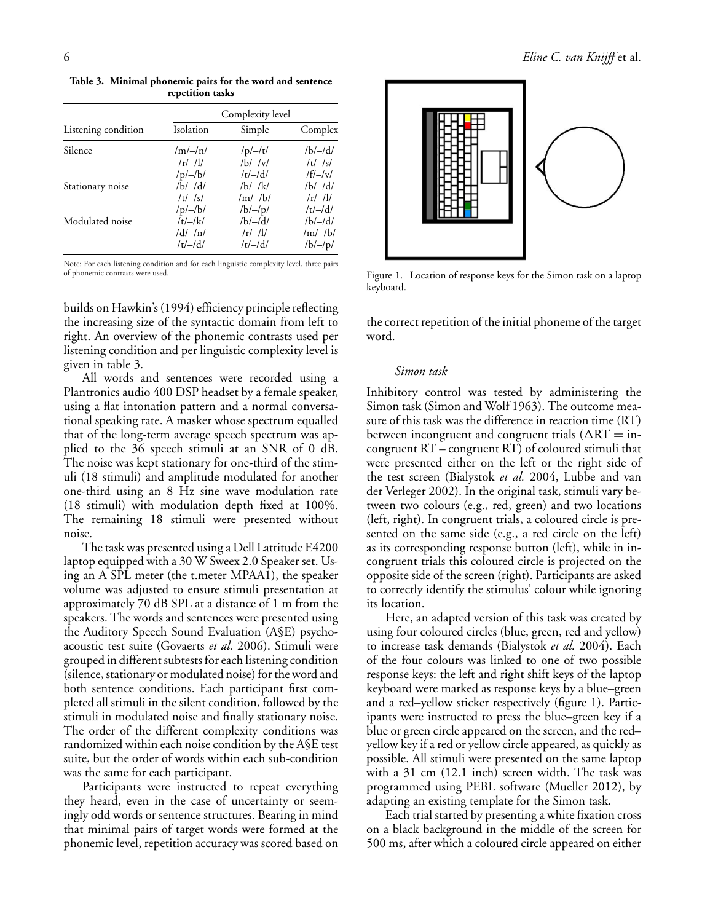|                     |                    | Complexity level |                |
|---------------------|--------------------|------------------|----------------|
| Listening condition | Isolation          | Simple           | Complex        |
| Silence             | $/m/-/n/$          | $/p$ /-/t/       | /b/-/d/        |
|                     | $ r -1 /$          | $/b/-/v/$        | $/t$ / $-$ /s/ |
|                     | $/p/-/b/$          | $/t$ / $-d$ /    | $ f - v $      |
| Stationary noise    | /b/-/d/            | $/b/-/k/$        | $/b/-/d/$      |
|                     | $/t$ / $-$ /s/     | $/m/-/b/$        | $/r/-/1/$      |
|                     | $/p/-/b/$          | $/b/-/p/$        | $/t$ / $-d$ /  |
| Modulated noise     | $/t$ / $-$ / $k$ / | $/b/-/d/$        | /b/-/d/        |
|                     | $/d/-/n/$          | $/r/-/1/$        | $/m/-/b/$      |
|                     | $/t$ / $-d$ /      | $/t$ / $-d$ /    | $/b/-/p/$      |

Note: For each listening condition and for each linguistic complexity level, three pairs of phonemic contrasts were used.

builds on Hawkin's (1994) efficiency principle reflecting the increasing size of the syntactic domain from left to right. An overview of the phonemic contrasts used per listening condition and per linguistic complexity level is given in table 3.

All words and sentences were recorded using a Plantronics audio 400 DSP headset by a female speaker, using a flat intonation pattern and a normal conversational speaking rate. A masker whose spectrum equalled that of the long-term average speech spectrum was applied to the 36 speech stimuli at an SNR of 0 dB. The noise was kept stationary for one-third of the stimuli (18 stimuli) and amplitude modulated for another one-third using an 8 Hz sine wave modulation rate (18 stimuli) with modulation depth fixed at 100%. The remaining 18 stimuli were presented without noise.

The task was presented using a Dell Lattitude E4200 laptop equipped with a 30 W Sweex 2.0 Speaker set. Using an A SPL meter (the t.meter MPAA1), the speaker volume was adjusted to ensure stimuli presentation at approximately 70 dB SPL at a distance of 1 m from the speakers. The words and sentences were presented using the Auditory Speech Sound Evaluation (A§E) psychoacoustic test suite (Govaerts *et al.* 2006). Stimuli were grouped in different subtests for each listening condition (silence, stationary or modulated noise) for the word and both sentence conditions. Each participant first completed all stimuli in the silent condition, followed by the stimuli in modulated noise and finally stationary noise. The order of the different complexity conditions was randomized within each noise condition by the A§E test suite, but the order of words within each sub-condition was the same for each participant.

Participants were instructed to repeat everything they heard, even in the case of uncertainty or seemingly odd words or sentence structures. Bearing in mind that minimal pairs of target words were formed at the phonemic level, repetition accuracy was scored based on



Figure 1. Location of response keys for the Simon task on a laptop keyboard.

the correct repetition of the initial phoneme of the target word.

#### *Simon task*

Inhibitory control was tested by administering the Simon task (Simon and Wolf 1963). The outcome measure of this task was the difference in reaction time (RT) between incongruent and congruent trials  $(\Delta RT)$  = incongruent RT – congruent RT) of coloured stimuli that were presented either on the left or the right side of the test screen (Bialystok *et al.* 2004, Lubbe and van der Verleger 2002). In the original task, stimuli vary between two colours (e.g., red, green) and two locations (left, right). In congruent trials, a coloured circle is presented on the same side (e.g., a red circle on the left) as its corresponding response button (left), while in incongruent trials this coloured circle is projected on the opposite side of the screen (right). Participants are asked to correctly identify the stimulus' colour while ignoring its location.

Here, an adapted version of this task was created by using four coloured circles (blue, green, red and yellow) to increase task demands (Bialystok *et al.* 2004). Each of the four colours was linked to one of two possible response keys: the left and right shift keys of the laptop keyboard were marked as response keys by a blue–green and a red–yellow sticker respectively (figure 1). Participants were instructed to press the blue–green key if a blue or green circle appeared on the screen, and the red– yellow key if a red or yellow circle appeared, as quickly as possible. All stimuli were presented on the same laptop with a 31 cm (12.1 inch) screen width. The task was programmed using PEBL software (Mueller 2012), by adapting an existing template for the Simon task.

Each trial started by presenting a white fixation cross on a black background in the middle of the screen for 500 ms, after which a coloured circle appeared on either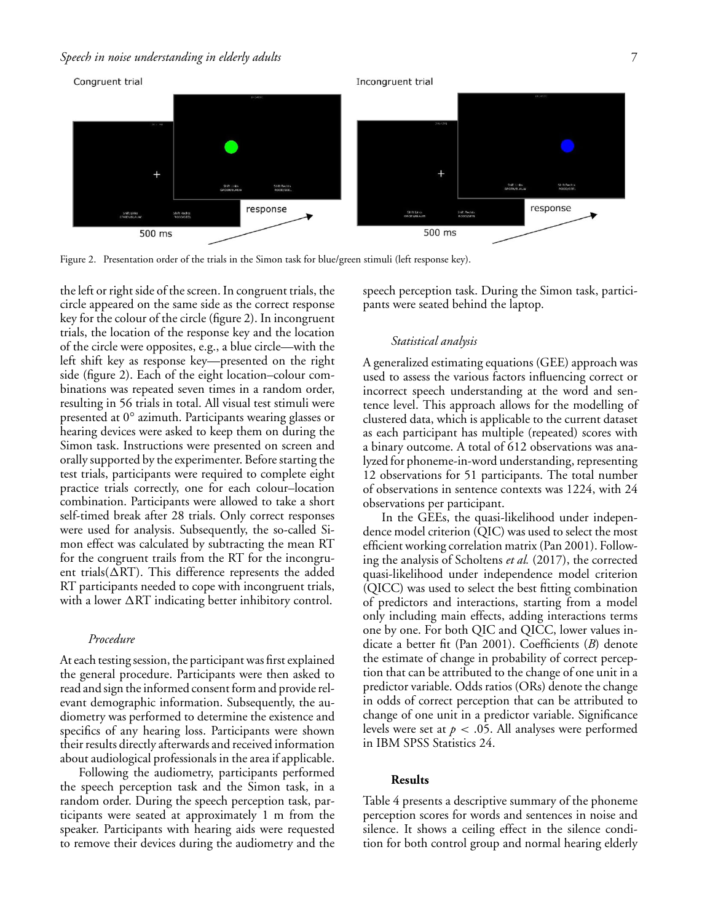

Figure 2. Presentation order of the trials in the Simon task for blue/green stimuli (left response key).

the left or right side of the screen. In congruent trials, the circle appeared on the same side as the correct response key for the colour of the circle (figure 2). In incongruent trials, the location of the response key and the location of the circle were opposites, e.g., a blue circle—with the left shift key as response key—presented on the right side (figure 2). Each of the eight location–colour combinations was repeated seven times in a random order, resulting in 56 trials in total. All visual test stimuli were presented at 0° azimuth. Participants wearing glasses or hearing devices were asked to keep them on during the Simon task. Instructions were presented on screen and orally supported by the experimenter. Before starting the test trials, participants were required to complete eight practice trials correctly, one for each colour–location combination. Participants were allowed to take a short self-timed break after 28 trials. Only correct responses were used for analysis. Subsequently, the so-called Simon effect was calculated by subtracting the mean RT for the congruent trails from the RT for the incongruent trials( $\Delta \text{RT}$ ). This difference represents the added RT participants needed to cope with incongruent trials, with a lower  $\Delta \text{RT}$  indicating better inhibitory control.

#### *Procedure*

At each testing session, the participant was first explained the general procedure. Participants were then asked to read and sign the informed consent form and provide relevant demographic information. Subsequently, the audiometry was performed to determine the existence and specifics of any hearing loss. Participants were shown their results directly afterwards and received information about audiological professionals in the area if applicable.

Following the audiometry, participants performed the speech perception task and the Simon task, in a random order. During the speech perception task, participants were seated at approximately 1 m from the speaker. Participants with hearing aids were requested to remove their devices during the audiometry and the speech perception task. During the Simon task, participants were seated behind the laptop.

#### *Statistical analysis*

A generalized estimating equations (GEE) approach was used to assess the various factors influencing correct or incorrect speech understanding at the word and sentence level. This approach allows for the modelling of clustered data, which is applicable to the current dataset as each participant has multiple (repeated) scores with a binary outcome. A total of 612 observations was analyzed for phoneme-in-word understanding, representing 12 observations for 51 participants. The total number of observations in sentence contexts was 1224, with 24 observations per participant.

In the GEEs, the quasi-likelihood under independence model criterion (QIC) was used to select the most efficient working correlation matrix (Pan 2001). Following the analysis of Scholtens *et al.* (2017), the corrected quasi-likelihood under independence model criterion (QICC) was used to select the best fitting combination of predictors and interactions, starting from a model only including main effects, adding interactions terms one by one. For both QIC and QICC, lower values indicate a better fit (Pan 2001). Coefficients (*B*) denote the estimate of change in probability of correct perception that can be attributed to the change of one unit in a predictor variable. Odds ratios (ORs) denote the change in odds of correct perception that can be attributed to change of one unit in a predictor variable. Significance levels were set at *p* < .05. All analyses were performed in IBM SPSS Statistics 24.

#### **Results**

Table 4 presents a descriptive summary of the phoneme perception scores for words and sentences in noise and silence. It shows a ceiling effect in the silence condition for both control group and normal hearing elderly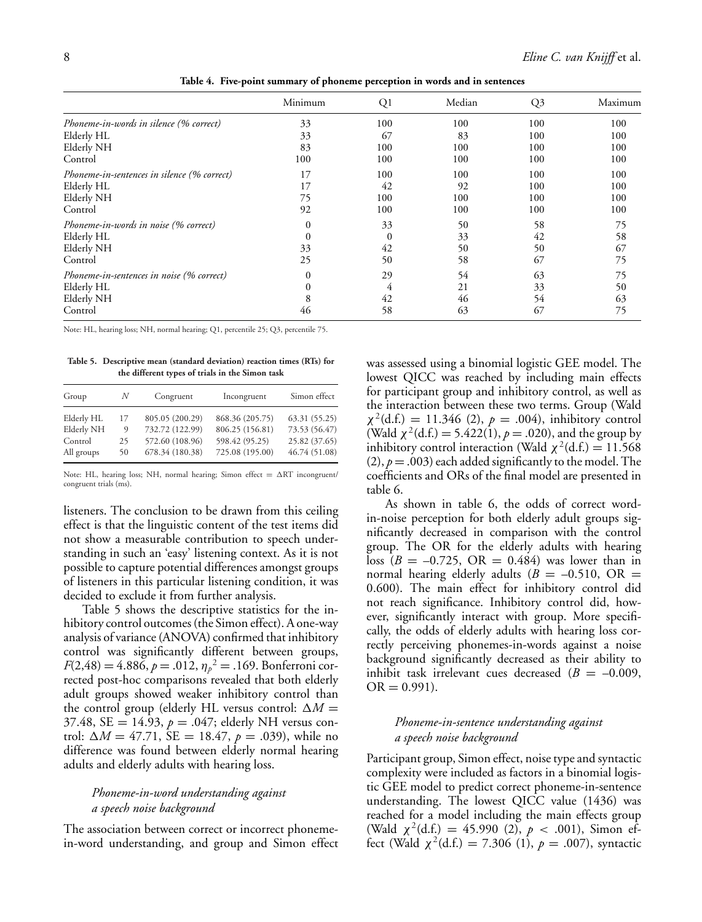|                                             | Minimum  | Q1             | Median | Q <sub>3</sub> | Maximum |
|---------------------------------------------|----------|----------------|--------|----------------|---------|
| Phoneme-in-words in silence (% correct)     | 33       | 100            | 100    | 100            | 100     |
| Elderly HL                                  | 33       | 67             | 83     | 100            | 100     |
| <b>Elderly NH</b>                           | 83       | 100            | 100    | 100            | 100     |
| Control                                     | 100      | 100            | 100    | 100            | 100     |
| Phoneme-in-sentences in silence (% correct) | 17       | 100            | 100    | 100            | 100     |
| Elderly HL                                  | 17       | 42             | 92     | 100            | 100     |
| <b>Elderly NH</b>                           | 75       | 100            | 100    | 100            | 100     |
| Control                                     | 92       | 100            | 100    | 100            | 100     |
| Phoneme-in-words in noise (% correct)       | $\Omega$ | 33             | 50     | 58             | 75      |
| Elderly HL                                  |          | $\overline{0}$ | 33     | 42             | 58      |
| Elderly NH                                  | 33       | 42             | 50     | 50             | 67      |
| Control                                     | 25       | 50             | 58     | 67             | 75      |
| Phoneme-in-sentences in noise (% correct)   |          | 29             | 54     | 63             | 75      |
| Elderly HL                                  |          | 4              | 21     | 33             | 50      |
| Elderly NH                                  |          | 42             | 46     | 54             | 63      |
| Control                                     | 46       | 58             | 63     | 67             | 75      |

**Table 4. Five-point summary of phoneme perception in words and in sentences**

Note: HL, hearing loss; NH, normal hearing; Q1, percentile 25; Q3, percentile 75.

**Table 5. Descriptive mean (standard deviation) reaction times (RTs) for the different types of trials in the Simon task**

| Group      | N  | Congruent       | Incongruent     | Simon effect  |
|------------|----|-----------------|-----------------|---------------|
| Elderly HL | 17 | 805.05 (200.29) | 868.36 (205.75) | 63.31(55.25)  |
| Elderly NH | 9  | 732.72 (122.99) | 806.25 (156.81) | 73.53 (56.47) |
| Control    | 25 | 572.60 (108.96) | 598.42 (95.25)  | 25.82 (37.65) |
| All groups | 50 | 678.34 (180.38) | 725.08 (195.00) | 46.74 (51.08) |

Note: HL, hearing loss; NH, normal hearing; Simon effect  $= \Delta RT$  incongruent/ congruent trials (ms).

listeners. The conclusion to be drawn from this ceiling effect is that the linguistic content of the test items did not show a measurable contribution to speech understanding in such an 'easy' listening context. As it is not possible to capture potential differences amongst groups of listeners in this particular listening condition, it was decided to exclude it from further analysis.

Table 5 shows the descriptive statistics for the inhibitory control outcomes (the Simon effect). A one-way analysis of variance (ANOVA) confirmed that inhibitory control was significantly different between groups,  $F(2,48) = 4.886, p = .012, \eta_p^2 = .169$ . Bonferroni corrected post-hoc comparisons revealed that both elderly adult groups showed weaker inhibitory control than the control group (elderly HL versus control:  $\Delta M =$ 37.48, SE = 14.93,  $p = .047$ ; elderly NH versus control:  $\Delta M = 47.71$ , SE = 18.47,  $p = .039$ ), while no difference was found between elderly normal hearing adults and elderly adults with hearing loss.

## *Phoneme-in-word understanding against a speech noise background*

The association between correct or incorrect phonemein-word understanding, and group and Simon effect was assessed using a binomial logistic GEE model. The lowest QICC was reached by including main effects for participant group and inhibitory control, as well as the interaction between these two terms. Group (Wald  $\chi^2(d.f.) = 11.346$  (2),  $p = .004$ ), inhibitory control (Wald  $\chi^2(d.f.) = 5.422(1), p = .020$ ), and the group by inhibitory control interaction (Wald  $\chi^2(d.f.) = 11.568$  $(2)$ ,  $p = .003$ ) each added significantly to the model. The coefficients and ORs of the final model are presented in table 6.

As shown in table 6, the odds of correct wordin-noise perception for both elderly adult groups significantly decreased in comparison with the control group. The OR for the elderly adults with hearing loss ( $B = -0.725$ , OR = 0.484) was lower than in normal hearing elderly adults  $(B = -0.510, \text{ OR } =$ 0.600). The main effect for inhibitory control did not reach significance. Inhibitory control did, however, significantly interact with group. More specifically, the odds of elderly adults with hearing loss correctly perceiving phonemes-in-words against a noise background significantly decreased as their ability to inhibit task irrelevant cues decreased  $(B = -0.009,$  $OR = 0.991$ .

## *Phoneme-in-sentence understanding against a speech noise background*

Participant group, Simon effect, noise type and syntactic complexity were included as factors in a binomial logistic GEE model to predict correct phoneme-in-sentence understanding. The lowest QICC value (1436) was reached for a model including the main effects group (Wald  $\chi^2(d.f.) = 45.990$  (2),  $p < .001$ ), Simon effect (Wald  $\chi^2(d.f.) = 7.306$  (1),  $p = .007$ ), syntactic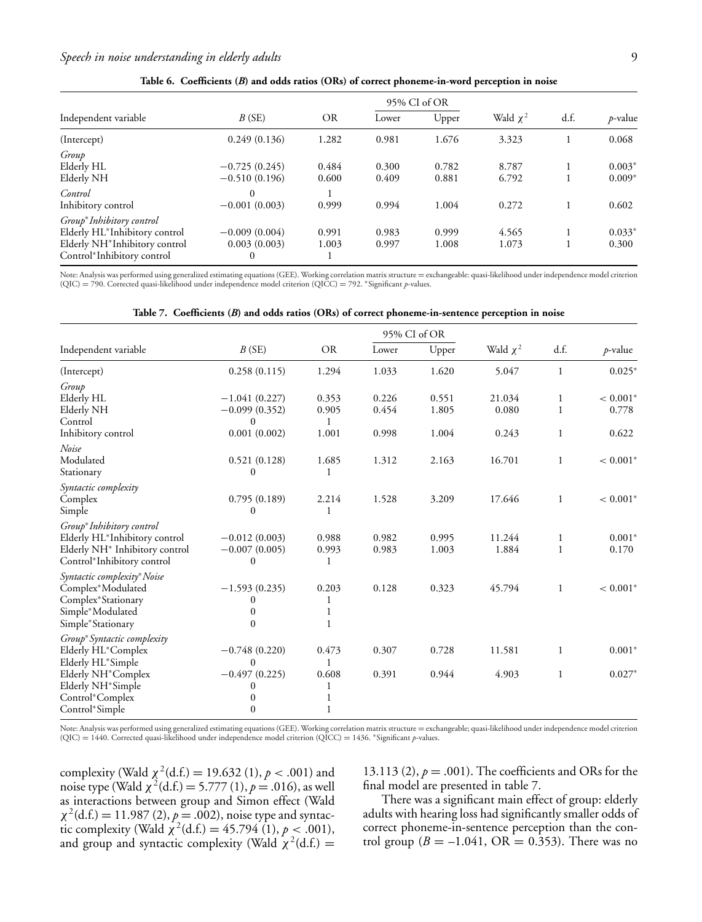|                                                                                                                                        | 95% CI of OR                       |                |                |                |                |      |                      |
|----------------------------------------------------------------------------------------------------------------------------------------|------------------------------------|----------------|----------------|----------------|----------------|------|----------------------|
| Independent variable                                                                                                                   | B(SE)                              | <b>OR</b>      | Lower          | Upper          | Wald $\chi^2$  | d.f. | <i>p</i> -value      |
| (Intercept)                                                                                                                            | 0.249(0.136)                       | 1.282          | 0.981          | 1.676          | 3.323          |      | 0.068                |
| Group<br>Elderly HL<br>Elderly NH                                                                                                      | $-0.725(0.245)$<br>$-0.510(0.196)$ | 0.484<br>0.600 | 0.300<br>0.409 | 0.782<br>0.881 | 8.787<br>6.792 |      | $0.003*$<br>$0.009*$ |
| Control<br>Inhibitory control                                                                                                          | 0<br>$-0.001(0.003)$               | 0.999          | 0.994          | 1.004          | 0.272          |      | 0.602                |
| Group* Inhibitory control<br>Elderly HL*Inhibitory control<br>Elderly NH <sup>*</sup> Inhibitory control<br>Control*Inhibitory control | $-0.009(0.004)$<br>0.003(0.003)    | 0.991<br>1.003 | 0.983<br>0.997 | 0.999<br>1.008 | 4.565<br>1.073 |      | $0.033*$<br>0.300    |

**Table 6. Coefficients (***B***) and odds ratios (ORs) of correct phoneme-in-word perception in noise**

Note: Analysis was performed using generalized estimating equations (GEE). Working correlation matrix structure = exchangeable: quasi-likelihood under independence model criterion (QIC) = 790. Corrected quasi-likelihood under independence model criterion (QICC) = 792. <sup>∗</sup>Significant *p*-values.

| Table 7. Coefficients (B) and odds ratios (ORs) of correct phoneme-in-sentence perception in noise |  |  |  |  |  |
|----------------------------------------------------------------------------------------------------|--|--|--|--|--|
|                                                                                                    |  |  |  |  |  |

|                                            | 95% CI of OR    |              |       |       |               |      |            |
|--------------------------------------------|-----------------|--------------|-------|-------|---------------|------|------------|
| Independent variable                       | B(SE)           | <b>OR</b>    | Lower | Upper | Wald $\chi^2$ | d.f. | $p$ -value |
| (Intercept)                                | 0.258(0.115)    | 1.294        | 1.033 | 1.620 | 5.047         | 1    | $0.025*$   |
| Group                                      |                 |              |       |       |               |      |            |
| Elderly HL                                 | $-1.041(0.227)$ | 0.353        | 0.226 | 0.551 | 21.034        | 1    | $< 0.001*$ |
| Elderly NH                                 | $-0.099(0.352)$ | 0.905        | 0.454 | 1.805 | 0.080         | 1    | 0.778      |
| Control                                    | 0               |              |       |       |               |      |            |
| Inhibitory control                         | 0.001(0.002)    | 1.001        | 0.998 | 1.004 | 0.243         | 1    | 0.622      |
| Noise                                      |                 |              |       |       |               |      |            |
| Modulated                                  | 0.521(0.128)    | 1.685        | 1.312 | 2.163 | 16.701        | 1    | $< 0.001*$ |
| Stationary                                 | 0               |              |       |       |               |      |            |
| Syntactic complexity                       |                 |              |       |       |               |      |            |
| Complex                                    | 0.795(0.189)    | 2.214        | 1.528 | 3.209 | 17.646        | 1    | $< 0.001*$ |
| Simple                                     | $\theta$        | 1            |       |       |               |      |            |
| Group <sup>*</sup> Inhibitory control      |                 |              |       |       |               |      |            |
| Elderly HL*Inhibitory control              | $-0.012(0.003)$ | 0.988        | 0.982 | 0.995 | 11.244        | 1    | $0.001*$   |
| Elderly NH <sup>*</sup> Inhibitory control | $-0.007(0.005)$ | 0.993        | 0.983 | 1.003 | 1.884         | 1    | 0.170      |
| Control*Inhibitory control                 | 0               | 1            |       |       |               |      |            |
| Syntactic complexity* Noise                |                 |              |       |       |               |      |            |
| Complex*Modulated                          | $-1.593(0.235)$ | 0.203        | 0.128 | 0.323 | 45.794        | 1    | $< 0.001*$ |
| Complex*Stationary                         | $\theta$        |              |       |       |               |      |            |
| Simple*Modulated                           | 0               | $\mathbf{1}$ |       |       |               |      |            |
| Simple*Stationary                          | $\Omega$        | $\mathbf{1}$ |       |       |               |      |            |
| Group* Syntactic complexity                |                 |              |       |       |               |      |            |
| Elderly HL*Complex                         | $-0.748(0.220)$ | 0.473        | 0.307 | 0.728 | 11.581        | 1    | $0.001*$   |
| Elderly HL*Simple                          | $\Omega$        |              |       |       |               |      |            |
| Elderly NH <sup>*</sup> Complex            | $-0.497(0.225)$ | 0.608        | 0.391 | 0.944 | 4.903         | 1    | $0.027*$   |
| Elderly NH*Simple                          | 0               |              |       |       |               |      |            |
| Control*Complex                            | 0               | 1            |       |       |               |      |            |
| Control*Simple                             | $\Omega$        | $\mathbf{1}$ |       |       |               |      |            |

Note: Analysis was performed using generalized estimating equations (GEE). Working correlation matrix structure = exchangeable; quasi-likelihood under independence model criterion<br>(QIC) = 1440. Corrected quasi-likelihood u

complexity (Wald  $\chi^2(d.f.) = 19.632(1), p < .001$ ) and noise type (Wald  $\chi^2(d.f.) = 5.777(1), \rho = .016$ ), as well as interactions between group and Simon effect (Wald  $\chi^2$ (d.f.) = 11.987 (2),  $p = .002$ ), noise type and syntactic complexity (Wald  $\chi^2(d.f.) = 45.794(1), p < .001$ ), and group and syntactic complexity (Wald  $\chi^2(d.f.)$  =

13.113 (2),  $p = .001$ ). The coefficients and ORs for the final model are presented in table 7.

There was a significant main effect of group: elderly adults with hearing loss had significantly smaller odds of correct phoneme-in-sentence perception than the control group ( $B = -1.041$ , OR = 0.353). There was no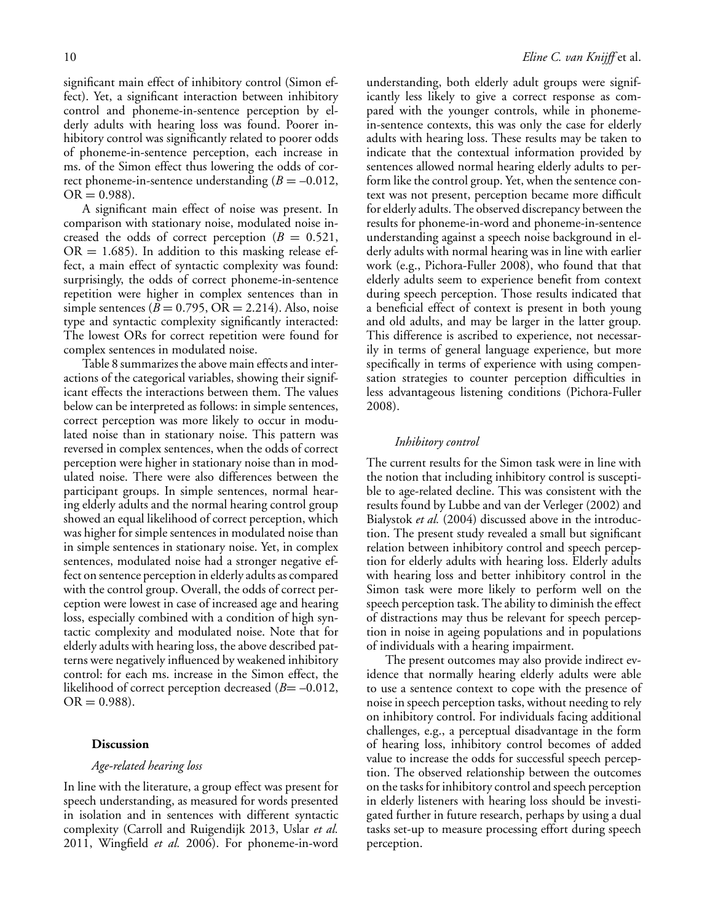significant main effect of inhibitory control (Simon effect). Yet, a significant interaction between inhibitory control and phoneme-in-sentence perception by elderly adults with hearing loss was found. Poorer inhibitory control was significantly related to poorer odds of phoneme-in-sentence perception, each increase in ms. of the Simon effect thus lowering the odds of correct phoneme-in-sentence understanding  $(B = -0.012,$  $OR = 0.988$ .

A significant main effect of noise was present. In comparison with stationary noise, modulated noise increased the odds of correct perception  $(B = 0.521,$  $OR = 1.685$ ). In addition to this masking release effect, a main effect of syntactic complexity was found: surprisingly, the odds of correct phoneme-in-sentence repetition were higher in complex sentences than in simple sentences ( $B = 0.795$ , OR = 2.214). Also, noise type and syntactic complexity significantly interacted: The lowest ORs for correct repetition were found for complex sentences in modulated noise.

Table 8 summarizes the above main effects and interactions of the categorical variables, showing their significant effects the interactions between them. The values below can be interpreted as follows: in simple sentences, correct perception was more likely to occur in modulated noise than in stationary noise. This pattern was reversed in complex sentences, when the odds of correct perception were higher in stationary noise than in modulated noise. There were also differences between the participant groups. In simple sentences, normal hearing elderly adults and the normal hearing control group showed an equal likelihood of correct perception, which was higher for simple sentences in modulated noise than in simple sentences in stationary noise. Yet, in complex sentences, modulated noise had a stronger negative effect on sentence perception in elderly adults as compared with the control group. Overall, the odds of correct perception were lowest in case of increased age and hearing loss, especially combined with a condition of high syntactic complexity and modulated noise. Note that for elderly adults with hearing loss, the above described patterns were negatively influenced by weakened inhibitory control: for each ms. increase in the Simon effect, the likelihood of correct perception decreased (*B*= –0.012,  $OR = 0.988$ .

#### **Discussion**

#### *Age-related hearing loss*

In line with the literature, a group effect was present for speech understanding, as measured for words presented in isolation and in sentences with different syntactic complexity (Carroll and Ruigendijk 2013, Uslar *et al.* 2011, Wingfield *et al.* 2006). For phoneme-in-word

understanding, both elderly adult groups were significantly less likely to give a correct response as compared with the younger controls, while in phonemein-sentence contexts, this was only the case for elderly adults with hearing loss. These results may be taken to indicate that the contextual information provided by sentences allowed normal hearing elderly adults to perform like the control group. Yet, when the sentence context was not present, perception became more difficult for elderly adults. The observed discrepancy between the results for phoneme-in-word and phoneme-in-sentence understanding against a speech noise background in elderly adults with normal hearing was in line with earlier work (e.g., Pichora-Fuller 2008), who found that that elderly adults seem to experience benefit from context during speech perception. Those results indicated that a beneficial effect of context is present in both young and old adults, and may be larger in the latter group. This difference is ascribed to experience, not necessarily in terms of general language experience, but more specifically in terms of experience with using compensation strategies to counter perception difficulties in less advantageous listening conditions (Pichora-Fuller 2008).

#### *Inhibitory control*

The current results for the Simon task were in line with the notion that including inhibitory control is susceptible to age-related decline. This was consistent with the results found by Lubbe and van der Verleger (2002) and Bialystok *et al.* (2004) discussed above in the introduction. The present study revealed a small but significant relation between inhibitory control and speech perception for elderly adults with hearing loss. Elderly adults with hearing loss and better inhibitory control in the Simon task were more likely to perform well on the speech perception task. The ability to diminish the effect of distractions may thus be relevant for speech perception in noise in ageing populations and in populations of individuals with a hearing impairment.

The present outcomes may also provide indirect evidence that normally hearing elderly adults were able to use a sentence context to cope with the presence of noise in speech perception tasks, without needing to rely on inhibitory control. For individuals facing additional challenges, e.g., a perceptual disadvantage in the form of hearing loss, inhibitory control becomes of added value to increase the odds for successful speech perception. The observed relationship between the outcomes on the tasks for inhibitory control and speech perception in elderly listeners with hearing loss should be investigated further in future research, perhaps by using a dual tasks set-up to measure processing effort during speech perception.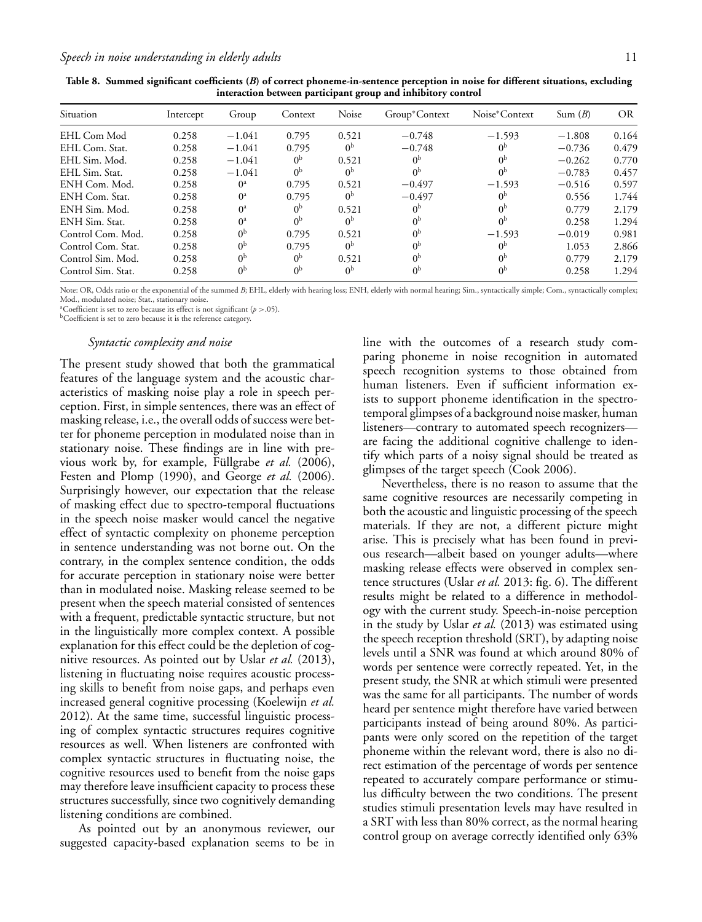| Table 8. Summed significant coefficients $(B)$ of correct phoneme-in-sentence perception in noise for different situations, excluding |                                                              |  |
|---------------------------------------------------------------------------------------------------------------------------------------|--------------------------------------------------------------|--|
|                                                                                                                                       | interaction between participant group and inhibitory control |  |

| Situation          | Intercept | Group          | Context        | Noise          | Group*Context  | Noise*Context  | Sum(B)   | OR.   |
|--------------------|-----------|----------------|----------------|----------------|----------------|----------------|----------|-------|
| EHL Com Mod        | 0.258     | $-1.041$       | 0.795          | 0.521          | $-0.748$       | $-1.593$       | $-1.808$ | 0.164 |
| EHL Com. Stat.     | 0.258     | $-1.041$       | 0.795          | 0 <sup>b</sup> | $-0.748$       | 0 <sup>b</sup> | $-0.736$ | 0.479 |
| EHL Sim. Mod.      | 0.258     | $-1.041$       | 0 <sup>b</sup> | 0.521          | 0 <sup>b</sup> | 0 <sup>b</sup> | $-0.262$ | 0.770 |
| EHL Sim. Stat.     | 0.258     | $-1.041$       | 0 <sup>b</sup> | 0 <sup>b</sup> | 0 <sup>b</sup> | 0 <sup>b</sup> | $-0.783$ | 0.457 |
| ENH Com. Mod.      | 0.258     | $0^a$          | 0.795          | 0.521          | $-0.497$       | $-1.593$       | $-0.516$ | 0.597 |
| ENH Com. Stat.     | 0.258     | $0^a$          | 0.795          | 0 <sup>b</sup> | $-0.497$       | 0 <sup>b</sup> | 0.556    | 1.744 |
| ENH Sim. Mod.      | 0.258     | $0^a$          | 0 <sup>b</sup> | 0.521          | 0 <sup>b</sup> | 0 <sub>p</sub> | 0.779    | 2.179 |
| ENH Sim. Stat.     | 0.258     | $0^a$          | 0 <sup>b</sup> | 0 <sup>b</sup> | 0 <sup>b</sup> | 0 <sup>b</sup> | 0.258    | 1.294 |
| Control Com. Mod.  | 0.258     | 0 <sup>b</sup> | 0.795          | 0.521          | 0 <sup>b</sup> | $-1.593$       | $-0.019$ | 0.981 |
| Control Com. Stat. | 0.258     | 0 <sup>b</sup> | 0.795          | 0 <sup>b</sup> | 0 <sup>b</sup> | 0 <sup>b</sup> | 1.053    | 2.866 |
| Control Sim. Mod.  | 0.258     | 0 <sup>b</sup> | 0 <sup>b</sup> | 0.521          | 0 <sup>b</sup> | 0 <sup>b</sup> | 0.779    | 2.179 |
| Control Sim. Stat. | 0.258     | 0 <sup>b</sup> | 0 <sup>b</sup> | 0 <sub>p</sub> | 0 <sup>b</sup> | 0 <sup>b</sup> | 0.258    | 1.294 |

Note: OR, Odds ratio or the exponential of the summed *B*; EHL, elderly with hearing loss; ENH, elderly with normal hearing; Sim., syntactically simple; Com., syntactically complex; Mod., modulated noise; Stat., stationary noise.

<sup>a</sup>Coefficient is set to zero because its effect is not significant ( $p > .05$ ).

<sup>b</sup>Coefficient is set to zero because it is the reference category.

#### *Syntactic complexity and noise*

The present study showed that both the grammatical features of the language system and the acoustic characteristics of masking noise play a role in speech perception. First, in simple sentences, there was an effect of masking release, i.e., the overall odds of success were better for phoneme perception in modulated noise than in stationary noise. These findings are in line with previous work by, for example, Fullgrabe *et al.* (2006), Festen and Plomp (1990), and George *et al.* (2006). Surprisingly however, our expectation that the release of masking effect due to spectro-temporal fluctuations in the speech noise masker would cancel the negative effect of syntactic complexity on phoneme perception in sentence understanding was not borne out. On the contrary, in the complex sentence condition, the odds for accurate perception in stationary noise were better than in modulated noise. Masking release seemed to be present when the speech material consisted of sentences with a frequent, predictable syntactic structure, but not in the linguistically more complex context. A possible explanation for this effect could be the depletion of cognitive resources. As pointed out by Uslar *et al.* (2013), listening in fluctuating noise requires acoustic processing skills to benefit from noise gaps, and perhaps even increased general cognitive processing (Koelewijn *et al.* 2012). At the same time, successful linguistic processing of complex syntactic structures requires cognitive resources as well. When listeners are confronted with complex syntactic structures in fluctuating noise, the cognitive resources used to benefit from the noise gaps may therefore leave insufficient capacity to process these structures successfully, since two cognitively demanding listening conditions are combined.

As pointed out by an anonymous reviewer, our suggested capacity-based explanation seems to be in line with the outcomes of a research study comparing phoneme in noise recognition in automated speech recognition systems to those obtained from human listeners. Even if sufficient information exists to support phoneme identification in the spectrotemporal glimpses of a background noise masker, human listeners—contrary to automated speech recognizers are facing the additional cognitive challenge to identify which parts of a noisy signal should be treated as glimpses of the target speech (Cook 2006).

Nevertheless, there is no reason to assume that the same cognitive resources are necessarily competing in both the acoustic and linguistic processing of the speech materials. If they are not, a different picture might arise. This is precisely what has been found in previous research—albeit based on younger adults—where masking release effects were observed in complex sentence structures (Uslar *et al.* 2013: fig. 6). The different results might be related to a difference in methodology with the current study. Speech-in-noise perception in the study by Uslar *et al.* (2013) was estimated using the speech reception threshold (SRT), by adapting noise levels until a SNR was found at which around 80% of words per sentence were correctly repeated. Yet, in the present study, the SNR at which stimuli were presented was the same for all participants. The number of words heard per sentence might therefore have varied between participants instead of being around 80%. As participants were only scored on the repetition of the target phoneme within the relevant word, there is also no direct estimation of the percentage of words per sentence repeated to accurately compare performance or stimulus difficulty between the two conditions. The present studies stimuli presentation levels may have resulted in a SRT with less than 80% correct, as the normal hearing control group on average correctly identified only 63%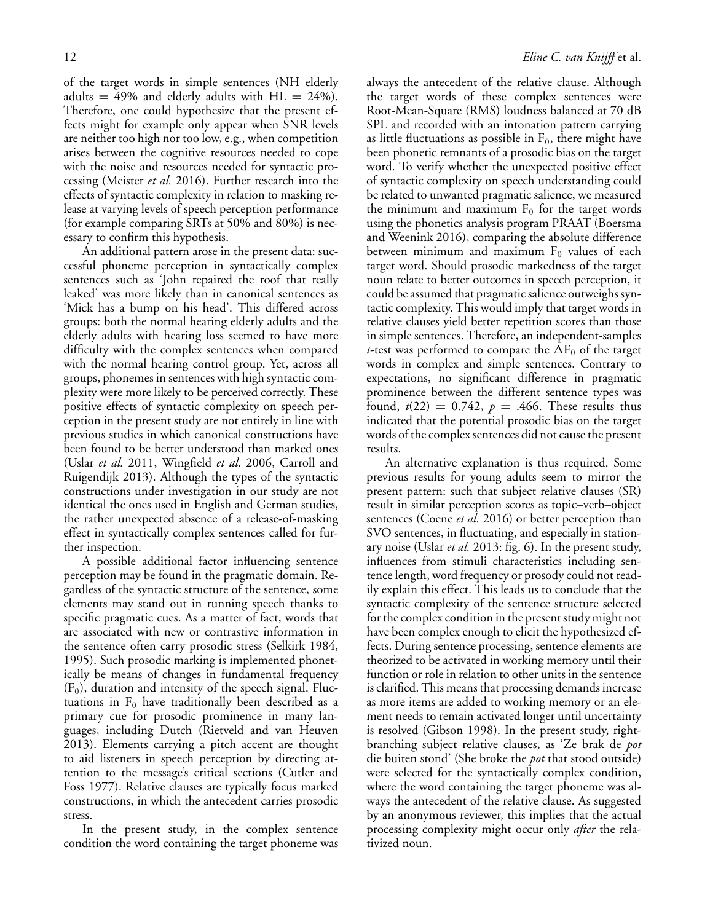of the target words in simple sentences (NH elderly adults =  $49\%$  and elderly adults with HL =  $24\%$ ). Therefore, one could hypothesize that the present effects might for example only appear when SNR levels are neither too high nor too low, e.g., when competition arises between the cognitive resources needed to cope with the noise and resources needed for syntactic processing (Meister *et al.* 2016). Further research into the effects of syntactic complexity in relation to masking release at varying levels of speech perception performance (for example comparing SRTs at 50% and 80%) is necessary to confirm this hypothesis.

An additional pattern arose in the present data: successful phoneme perception in syntactically complex sentences such as 'John repaired the roof that really leaked' was more likely than in canonical sentences as 'Mick has a bump on his head'. This differed across groups: both the normal hearing elderly adults and the elderly adults with hearing loss seemed to have more difficulty with the complex sentences when compared with the normal hearing control group. Yet, across all groups, phonemes in sentences with high syntactic complexity were more likely to be perceived correctly. These positive effects of syntactic complexity on speech perception in the present study are not entirely in line with previous studies in which canonical constructions have been found to be better understood than marked ones (Uslar *et al.* 2011, Wingfield *et al.* 2006, Carroll and Ruigendijk 2013). Although the types of the syntactic constructions under investigation in our study are not identical the ones used in English and German studies, the rather unexpected absence of a release-of-masking effect in syntactically complex sentences called for further inspection.

A possible additional factor influencing sentence perception may be found in the pragmatic domain. Regardless of the syntactic structure of the sentence, some elements may stand out in running speech thanks to specific pragmatic cues. As a matter of fact, words that are associated with new or contrastive information in the sentence often carry prosodic stress (Selkirk 1984, 1995). Such prosodic marking is implemented phonetically be means of changes in fundamental frequency  $(F<sub>0</sub>)$ , duration and intensity of the speech signal. Fluctuations in  $F_0$  have traditionally been described as a primary cue for prosodic prominence in many languages, including Dutch (Rietveld and van Heuven 2013). Elements carrying a pitch accent are thought to aid listeners in speech perception by directing attention to the message's critical sections (Cutler and Foss 1977). Relative clauses are typically focus marked constructions, in which the antecedent carries prosodic stress.

In the present study, in the complex sentence condition the word containing the target phoneme was always the antecedent of the relative clause. Although the target words of these complex sentences were Root-Mean-Square (RMS) loudness balanced at 70 dB SPL and recorded with an intonation pattern carrying as little fluctuations as possible in  $F_0$ , there might have been phonetic remnants of a prosodic bias on the target word. To verify whether the unexpected positive effect of syntactic complexity on speech understanding could be related to unwanted pragmatic salience, we measured the minimum and maximum  $F_0$  for the target words using the phonetics analysis program PRAAT (Boersma and Weenink 2016), comparing the absolute difference between minimum and maximum  $F_0$  values of each target word. Should prosodic markedness of the target noun relate to better outcomes in speech perception, it could be assumed that pragmatic salience outweighs syntactic complexity. This would imply that target words in relative clauses yield better repetition scores than those in simple sentences. Therefore, an independent-samples *t*-test was performed to compare the  $\Delta F_0$  of the target words in complex and simple sentences. Contrary to expectations, no significant difference in pragmatic prominence between the different sentence types was found,  $t(22) = 0.742$ ,  $p = .466$ . These results thus indicated that the potential prosodic bias on the target words of the complex sentences did not cause the present results.

An alternative explanation is thus required. Some previous results for young adults seem to mirror the present pattern: such that subject relative clauses (SR) result in similar perception scores as topic–verb–object sentences (Coene *et al.* 2016) or better perception than SVO sentences, in fluctuating, and especially in stationary noise (Uslar *et al.* 2013: fig. 6). In the present study, influences from stimuli characteristics including sentence length, word frequency or prosody could not readily explain this effect. This leads us to conclude that the syntactic complexity of the sentence structure selected for the complex condition in the present study might not have been complex enough to elicit the hypothesized effects. During sentence processing, sentence elements are theorized to be activated in working memory until their function or role in relation to other units in the sentence is clarified. This means that processing demands increase as more items are added to working memory or an element needs to remain activated longer until uncertainty is resolved (Gibson 1998). In the present study, rightbranching subject relative clauses, as 'Ze brak de *pot* die buiten stond' (She broke the *pot* that stood outside) were selected for the syntactically complex condition, where the word containing the target phoneme was always the antecedent of the relative clause. As suggested by an anonymous reviewer, this implies that the actual processing complexity might occur only *after* the relativized noun.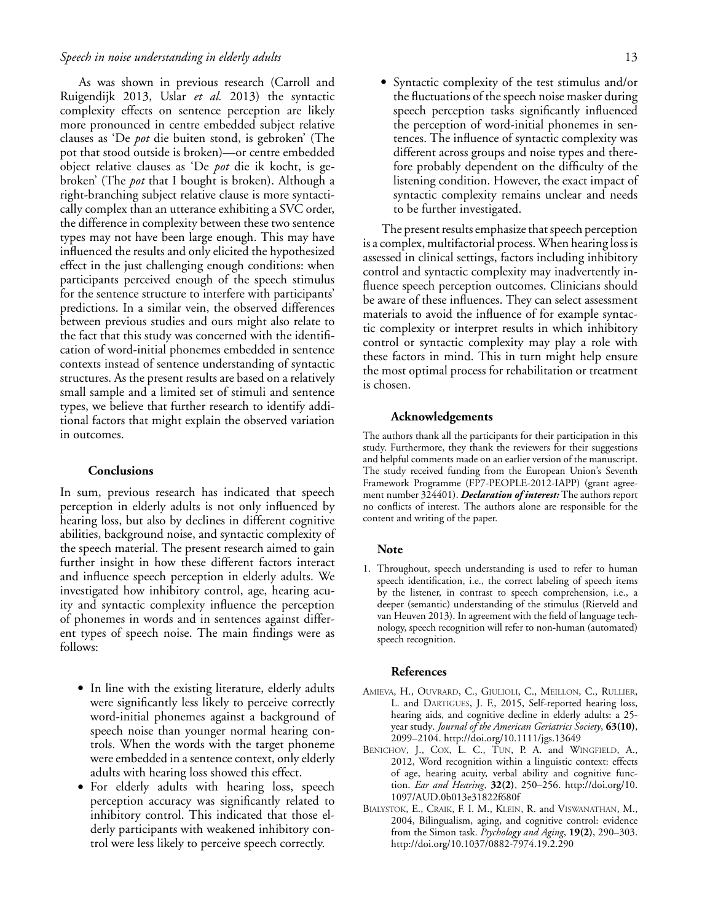#### *Speech in noise understanding in elderly adults* 13

As was shown in previous research (Carroll and Ruigendijk 2013, Uslar *et al.* 2013) the syntactic complexity effects on sentence perception are likely more pronounced in centre embedded subject relative clauses as 'De *pot* die buiten stond, is gebroken' (The pot that stood outside is broken)—or centre embedded object relative clauses as 'De *pot* die ik kocht, is gebroken' (The *pot* that I bought is broken). Although a right-branching subject relative clause is more syntactically complex than an utterance exhibiting a SVC order, the difference in complexity between these two sentence types may not have been large enough. This may have influenced the results and only elicited the hypothesized effect in the just challenging enough conditions: when participants perceived enough of the speech stimulus for the sentence structure to interfere with participants' predictions. In a similar vein, the observed differences between previous studies and ours might also relate to the fact that this study was concerned with the identification of word-initial phonemes embedded in sentence contexts instead of sentence understanding of syntactic structures. As the present results are based on a relatively small sample and a limited set of stimuli and sentence types, we believe that further research to identify additional factors that might explain the observed variation in outcomes.

#### **Conclusions**

In sum, previous research has indicated that speech perception in elderly adults is not only influenced by hearing loss, but also by declines in different cognitive abilities, background noise, and syntactic complexity of the speech material. The present research aimed to gain further insight in how these different factors interact and influence speech perception in elderly adults. We investigated how inhibitory control, age, hearing acuity and syntactic complexity influence the perception of phonemes in words and in sentences against different types of speech noise. The main findings were as follows:

- In line with the existing literature, elderly adults were significantly less likely to perceive correctly word-initial phonemes against a background of speech noise than younger normal hearing controls. When the words with the target phoneme were embedded in a sentence context, only elderly adults with hearing loss showed this effect.
- For elderly adults with hearing loss, speech perception accuracy was significantly related to inhibitory control. This indicated that those elderly participants with weakened inhibitory control were less likely to perceive speech correctly.

- Syntactic complexity of the test stimulus and/or the fluctuations of the speech noise masker during speech perception tasks significantly influenced the perception of word-initial phonemes in sentences. The influence of syntactic complexity was different across groups and noise types and therefore probably dependent on the difficulty of the listening condition. However, the exact impact of syntactic complexity remains unclear and needs to be further investigated.

The present results emphasize that speech perception is a complex, multifactorial process. When hearing loss is assessed in clinical settings, factors including inhibitory control and syntactic complexity may inadvertently influence speech perception outcomes. Clinicians should be aware of these influences. They can select assessment materials to avoid the influence of for example syntactic complexity or interpret results in which inhibitory control or syntactic complexity may play a role with these factors in mind. This in turn might help ensure the most optimal process for rehabilitation or treatment is chosen.

#### **Acknowledgements**

The authors thank all the participants for their participation in this study. Furthermore, they thank the reviewers for their suggestions and helpful comments made on an earlier version of the manuscript. The study received funding from the European Union's Seventh Framework Programme (FP7-PEOPLE-2012-IAPP) (grant agreement number 324401). *Declaration of interest:* The authors report no conflicts of interest. The authors alone are responsible for the content and writing of the paper.

#### **Note**

1. Throughout, speech understanding is used to refer to human speech identification, i.e., the correct labeling of speech items by the listener, in contrast to speech comprehension, i.e., a deeper (semantic) understanding of the stimulus (Rietveld and van Heuven 2013). In agreement with the field of language technology, speech recognition will refer to non-human (automated) speech recognition.

#### **References**

- AMIEVA, H., OUVRARD, C., GIULIOLI, C., MEILLON, C., RULLIER, L. and DARTIGUES, J. F., 2015, Self-reported hearing loss, hearing aids, and cognitive decline in elderly adults: a 25 year study. *Journal of the American Geriatrics Society*, **63(10)**, 2099–2104.<http://doi.org/10.1111/jgs.13649>
- BENICHOV, J., COX, L. C., TUN, P. A. and WINGFIELD, A., 2012, Word recognition within a linguistic context: effects of age, hearing acuity, verbal ability and cognitive function. *Ear and Hearing*, **32(2)**, 250–256. [http://doi.org/10.](http://doi.org/10.1097/AUD.0b013e31822f680f) [1097/AUD.0b013e31822f680f](http://doi.org/10.1097/AUD.0b013e31822f680f)
- BIALYSTOK, E., CRAIK, F. I. M., KLEIN, R. and VISWANATHAN, M., 2004, Bilingualism, aging, and cognitive control: evidence from the Simon task. *Psychology and Aging*, **19(2)**, 290–303. <http://doi.org/10.1037/0882-7974.19.2.290>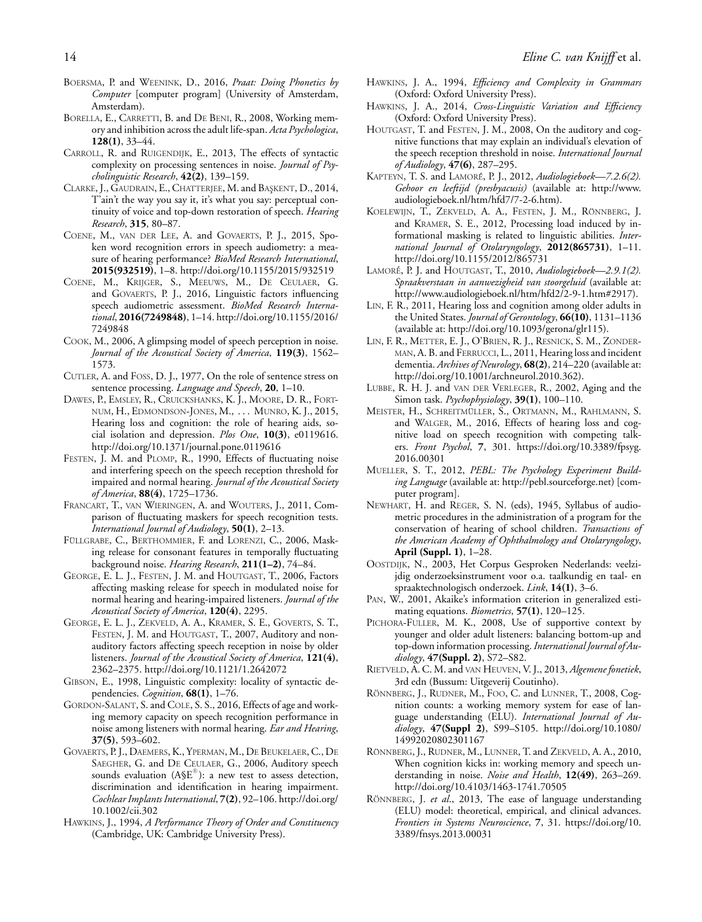- BOERSMA, P. and WEENINK, D., 2016, *Praat: Doing Phonetics by Computer* [computer program] (University of Amsterdam, Amsterdam).
- BORELLA, E., CARRETTI, B. and DE BENI, R., 2008, Working memory and inhibition across the adult life-span. *Acta Psychologica*, **128(1)**, 33–44.
- CARROLL, R. and RUIGENDIJK, E., 2013, The effects of syntactic complexity on processing sentences in noise. *Journal of Psycholinguistic Research*, **42(2)**, 139–159.
- CLARKE, J., GAUDRAIN, E., CHATTERJEE, M. and BAŞKENT, D., 2014, T'ain't the way you say it, it's what you say: perceptual continuity of voice and top-down restoration of speech. *Hearing Research*, **315**, 80–87.
- COENE, M., VAN DER LEE, A. and GOVAERTS, P. J., 2015, Spoken word recognition errors in speech audiometry: a measure of hearing performance? *BioMed Research International*, **2015(932519)**, 1–8.<http://doi.org/10.1155/2015/932519>
- COENE, M., KRIJGER, S., MEEUWS, M., DE CEULAER, G. and GOVAERTS, P. J., 2016, Linguistic factors influencing speech audiometric assessment. *BioMed Research International*, **2016(7249848)**, 1–14. [http://doi.org/10.1155/2016/](http://doi.org/10.1155/2016/7249848) [7249848](http://doi.org/10.1155/2016/7249848)
- COOK, M., 2006, A glimpsing model of speech perception in noise. *Journal of the Acoustical Society of America*, **119(3)**, 1562– 1573.
- CUTLER, A. and FOSS, D. J., 1977, On the role of sentence stress on sentence processing. *Language and Speech*, **20**, 1–10.
- DAWES, P., EMSLEY, R., CRUICKSHANKS, K. J., MOORE, D. R., FORT-NUM, H., EDMONDSON-JONES, M., . . . MUNRO, K. J., 2015, Hearing loss and cognition: the role of hearing aids, social isolation and depression. *Plos One*, **10(3)**, e0119616. <http://doi.org/10.1371/journal.pone.0119616>
- FESTEN, J. M. and PLOMP, R., 1990, Effects of fluctuating noise and interfering speech on the speech reception threshold for impaired and normal hearing. *Journal of the Acoustical Society of America*, **88(4)**, 1725–1736.
- FRANCART, T., VAN WIERINGEN, A. and WOUTERS, J., 2011, Comparison of fluctuating maskers for speech recognition tests. *International Journal of Audiology*, **50(1)**, 2–13.
- FULLGRABE, C., BERTHOMMIER, F. and LORENZI, C., 2006, Masking release for consonant features in temporally fluctuating background noise. *Hearing Research*, **211(1–2)**, 74–84.
- GEORGE, E. L. J., FESTEN, J. M. and HOUTGAST, T., 2006, Factors affecting masking release for speech in modulated noise for normal hearing and hearing-impaired listeners. *Journal of the Acoustical Society of America*, **120(4)**, 2295.
- GEORGE, E. L. J., ZEKVELD, A. A., KRAMER, S. E., GOVERTS, S. T., FESTEN, J. M. and HOUTGAST, T., 2007, Auditory and nonauditory factors affecting speech reception in noise by older listeners. *Journal of the Acoustical Society of America*, **121(4)**, 2362–2375.<http://doi.org/10.1121/1.2642072>
- GIBSON, E., 1998, Linguistic complexity: locality of syntactic dependencies. *Cognition*, **68(1)**, 1–76.
- GORDON-SALANT, S. and COLE, S. S., 2016, Effects of age and working memory capacity on speech recognition performance in noise among listeners with normal hearing. *Ear and Hearing*, **37(5)**, 593–602.
- GOVAERTS, P. J., DAEMERS, K., YPERMAN, M., DE BEUKELAER, C., DE SAEGHER, G. and DE CEULAER, G., 2006, Auditory speech sounds evaluation (A $\Sigma^\mathbbm{B}$ ): a new test to assess detection, discrimination and identification in hearing impairment. *Cochlear Implants International*, **7(2)**, 92–106. [http://doi.org/](http://doi.org/10.1002/cii.302) [10.1002/cii.302](http://doi.org/10.1002/cii.302)
- HAWKINS, J., 1994, *A Performance Theory of Order and Constituency* (Cambridge, UK: Cambridge University Press).
- HAWKINS, J. A., 1994, *Efficiency and Complexity in Grammars* (Oxford: Oxford University Press).
- HAWKINS, J. A., 2014, *Cross-Linguistic Variation and Efficiency* (Oxford: Oxford University Press).
- HOUTGAST, T. and FESTEN, J. M., 2008, On the auditory and cognitive functions that may explain an individual's elevation of the speech reception threshold in noise. *International Journal of Audiology*, **47(6)**, 287–295.
- KAPTEYN, T. S. and LAMORE´, P. J., 2012, *Audiologieboek—7.2.6(2). Gehoor en leeftijd (presbyacusis)* (available at: [http://www.](http://www.audiologieboek.nl/htm/hfd7/7-2-6.htm) [audiologieboek.nl/htm/hfd7/7-2-6.htm\)](http://www.audiologieboek.nl/htm/hfd7/7-2-6.htm).
- KOELEWIJN, T., ZEKVELD, A. A., FESTEN, J. M., RÖNNBERG, J. and KRAMER, S. E., 2012, Processing load induced by informational masking is related to linguistic abilities. *International Journal of Otolaryngology*, **2012(865731)**, 1–11. <http://doi.org/10.1155/2012/865731>
- LAMORE´, P. J. and HOUTGAST, T., 2010, *Audiologieboek—2.9.1(2). Spraakverstaan in aanwezigheid van stoorgeluid* (available at: [http://www.audiologieboek.nl/htm/hfd2/2-9-1.htm#2917\)](http://www.audiologieboek.nl/htm/hfd2/2-9-1.htm#2917).
- LIN, F. R., 2011, Hearing loss and cognition among older adults in the United States. *Journal of Gerontology*, **66(10)**, 1131–1136 (available at: [http://doi.org/10.1093/gerona/glr115\)](http://doi.org/10.1093/gerona/glr115).
- LIN, F. R., METTER, E. J., O'BRIEN, R. J., RESNICK, S. M., ZONDER-MAN, A. B. and FERRUCCI, L., 2011, Hearing loss and incident dementia. *Archives of Neurology*, **68(2)**, 214–220 (available at: [http://doi.org/10.1001/archneurol.2010.362\)](http://doi.org/10.1001/archneurol.2010.362).
- LUBBE, R. H. J. and VAN DER VERLEGER, R., 2002, Aging and the Simon task. *Psychophysiology*, **39(1)**, 100–110.
- MEISTER, H., SCHREITMÜLLER, S., ORTMANN, M., RAHLMANN, S. and WALGER, M., 2016, Effects of hearing loss and cognitive load on speech recognition with competing talkers. *Front Psychol*, **7**, 301. [https://doi.org/10.3389/fpsyg.](https://doi.org/10.3389/fpsyg.2016.00301) [2016.00301](https://doi.org/10.3389/fpsyg.2016.00301)
- MUELLER, S. T., 2012, *PEBL: The Psychology Experiment Building Language* (available at: [http://pebl.sourceforge.net\)](http://pebl.sourceforge.net) [computer program].
- NEWHART, H. and REGER, S. N. (eds), 1945, Syllabus of audiometric procedures in the administration of a program for the conservation of hearing of school children. *Transactions of the American Academy of Ophthalmology and Otolaryngology*, **April (Suppl. 1)**, 1–28.
- OOSTDIJK, N., 2003, Het Corpus Gesproken Nederlands: veelzijdig onderzoeksinstrument voor o.a. taalkundig en taal- en spraaktechnologisch onderzoek. *Link*, **14(1)**, 3–6.
- PAN, W., 2001, Akaike's information criterion in generalized estimating equations. *Biometrics*, **57(1)**, 120–125.
- PICHORA-FULLER, M. K., 2008, Use of supportive context by younger and older adult listeners: balancing bottom-up and top-down information processing.*International Journal of Audiology*, **47(Suppl. 2)**, S72–S82.
- RIETVELD, A. C. M. and VAN HEUVEN, V. J., 2013, *Algemene fonetiek*, 3rd edn (Bussum: Uitgeverij Coutinho).
- RÖNNBERG, J., RUDNER, M., FOO, C. and LUNNER, T., 2008, Cognition counts: a working memory system for ease of language understanding (ELU). *International Journal of Audiology*, **47(Suppl 2)**, S99–S105. [http://doi.org/10.1080/](http://doi.org/10.1080/14992020802301167) [14992020802301167](http://doi.org/10.1080/14992020802301167)
- RÖNNBERG, J., RUDNER, M., LUNNER, T. and ZEKVELD, A. A., 2010, When cognition kicks in: working memory and speech understanding in noise. *Noise and Health*, **12(49)**, 263–269. <http://doi.org/10.4103/1463-1741.70505>
- RÖNNBERG, J. et al., 2013, The ease of language understanding (ELU) model: theoretical, empirical, and clinical advances. *Frontiers in Systems Neuroscience*, **7**, 31. [https://doi.org/10.](https://doi.org/10.3389/fnsys.2013.00031) [3389/fnsys.2013.00031](https://doi.org/10.3389/fnsys.2013.00031)